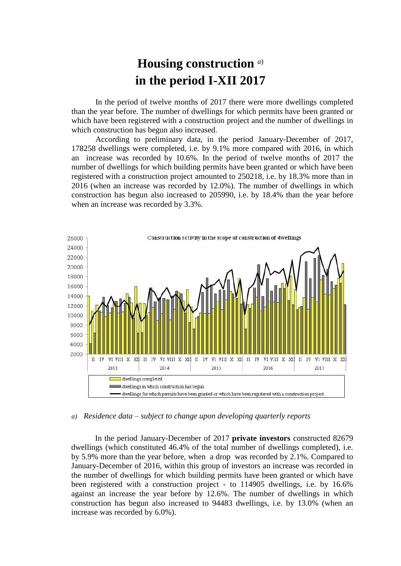## **Housing construction** *a*) **in the period I-XII 2017**

In the period of twelve months of 2017 there were more dwellings completed than the year before. The number of dwellings for which permits have been granted or which have been registered with a construction project and the number of dwellings in which construction has begun also increased.

According to preliminary data, in the period January-December of 2017, 178258 dwellings were completed, i.e. by 9.1% more compared with 2016, in which an increase was recorded by 10.6%. In the period of twelve months of 2017 the number of dwellings for which building permits have been granted or which have been registered with a construction project amounted to 250218, i.e. by 18.3% more than in 2016 (when an increase was recorded by 12.0%). The number of dwellings in which construction has begun also increased to 205990, i.e. by 18.4% than the year before when an increase was recorded by 3.3%.



*a) Residence data – subject to change upon developing quarterly reports*

In the period January-December of 2017 **private investors** constructed 82679 dwellings (which constituted 46.4% of the total number of dwellings completed), i.e. by 5.9% more than the year before, when a drop was recorded by 2.1%. Compared to January-December of 2016, within this group of investors an increase was recorded in the number of dwellings for which building permits have been granted or which have been registered with a construction project - to 114905 dwellings, i.e. by 16.6% against an increase the year before by 12.6%. The number of dwellings in which construction has begun also increased to 94483 dwellings, i.e. by 13.0% (when an increase was recorded by 6.0%).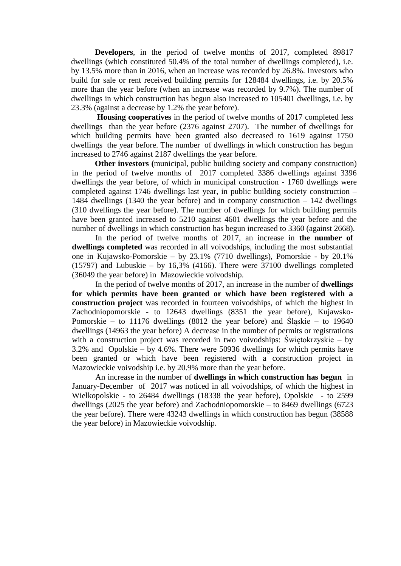**Developers**, in the period of twelve months of 2017, completed 89817 dwellings (which constituted 50.4% of the total number of dwellings completed), i.e. by 13.5% more than in 2016, when an increase was recorded by 26.8%. Investors who build for sale or rent received building permits for 128484 dwellings, i.e. by 20.5% more than the year before (when an increase was recorded by 9.7%). The number of dwellings in which construction has begun also increased to 105401 dwellings, i.e. by 23.3% (against a decrease by 1.2% the year before).

**Housing cooperatives** in the period of twelve months of 2017 completed less dwellings than the year before (2376 against 2707). The number of dwellings for which building permits have been granted also decreased to 1619 against 1750 dwellings the year before. The number of dwellings in which construction has begun increased to 2746 against 2187 dwellings the year before.

 **Other investors (**municipal, public building society and company construction) in the period of twelve months of 2017 completed 3386 dwellings against 3396 dwellings the year before, of which in municipal construction - 1760 dwellings were completed against 1746 dwellings last year, in public building society construction – 1484 dwellings (1340 the year before) and in company construction – 142 dwellings (310 dwellings the year before). The number of dwellings for which building permits have been granted increased to 5210 against 4601 dwellings the year before and the number of dwellings in which construction has begun increased to 3360 (against 2668).

In the period of twelve months of 2017, an increase in **the number of dwellings completed** was recorded in all voivodships, including the most substantial one in Kujawsko-Pomorskie – by 23.1% (7710 dwellings), Pomorskie - by 20.1%  $(15797)$  and Lubuskie – by 16,3% (4166). There were 37100 dwellings completed (36049 the year before) in Mazowieckie voivodship.

In the period of twelve months of 2017, an increase in the number of **dwellings for which permits have been granted or which have been registered with a construction project** was recorded in fourteen voivodships, of which the highest in Zachodniopomorskie - to 12643 dwellings (8351 the year before), Kujawsko-Pomorskie – to 11176 dwellings (8012 the year before) and Śląskie – to 19640 dwellings (14963 the year before) A decrease in the number of permits or registrations with a construction project was recorded in two voivodships: Świętokrzyskie – by 3.2% and Opolskie – by 4.6%. There were 50936 dwellings for which permits have been granted or which have been registered with a construction project in Mazowieckie voivodship i.e. by 20.9% more than the year before.

An increase in the number of **dwellings in which construction has begun** in January-December of 2017 was noticed in all voivodships, of which the highest in Wielkopolskie - to 26484 dwellings (18338 the year before), Opolskie - to 2599 dwellings (2025 the year before) and Zachodniopomorskie – to 8469 dwellings (6723 the year before). There were 43243 dwellings in which construction has begun (38588 the year before) in Mazowieckie voivodship.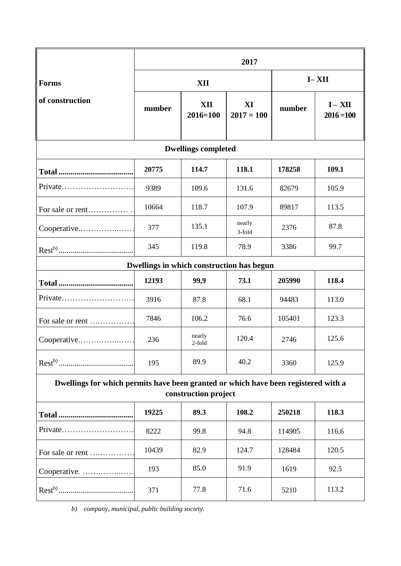|                                                                                                            | 2017   |                     |                    |           |                           |
|------------------------------------------------------------------------------------------------------------|--------|---------------------|--------------------|-----------|---------------------------|
| <b>Forms</b><br>of construction                                                                            | XII    |                     |                    | $I - XII$ |                           |
|                                                                                                            | number | XII<br>$2016 = 100$ | XI<br>$2017 = 100$ | number    | $I - XII$<br>$2016 = 100$ |
| <b>Dwellings completed</b>                                                                                 |        |                     |                    |           |                           |
|                                                                                                            | 20775  | 114.7               | 118.1              | 178258    | 109.1                     |
| $Private$                                                                                                  | 9389   | 109.6               | 131.6              | 82679     | 105.9                     |
| For sale or rent                                                                                           | 10664  | 118.7               | 107.9              | 89817     | 113.5                     |
| Cooperative                                                                                                | 377    | 135.1               | nearly<br>3-fold   | 2376      | 87.8                      |
|                                                                                                            | 345    | 119.8               | 78.9               | 3386      | 99.7                      |
| Dwellings in which construction has begun                                                                  |        |                     |                    |           |                           |
|                                                                                                            | 12193  | 99,9                | 73.1               | 205990    | 118.4                     |
| Private                                                                                                    | 3916   | 87.8                | 68.1               | 94483     | 113.0                     |
| For sale or rent                                                                                           | 7846   | 106.2               | 76.6               | 105401    | 123.3                     |
| Cooperative                                                                                                | 236    | nearly<br>$2$ -fold | 120.4              | 2746      | 125.6                     |
|                                                                                                            | 195    | 89.9                | 40.2               | 3360      | 125.9                     |
| Dwellings for which permits have been granted or which have been registered with a<br>construction project |        |                     |                    |           |                           |
|                                                                                                            | 19225  | 89.3                | 108.2              | 250218    | 118.3                     |
| Private                                                                                                    | 8222   | 99.8                | 94.8               | 114905    | 116.6                     |
| For sale or rent                                                                                           | 10439  | 82.9                | 124.7              | 128484    | 120.5                     |
| Cooperative.                                                                                               | 193    | 85.0                | 91.9               | 1619      | 92.5                      |
|                                                                                                            | 371    | 77.8                | 71.6               | 5210      | 113.2                     |

*b) company, municipal, public building society.*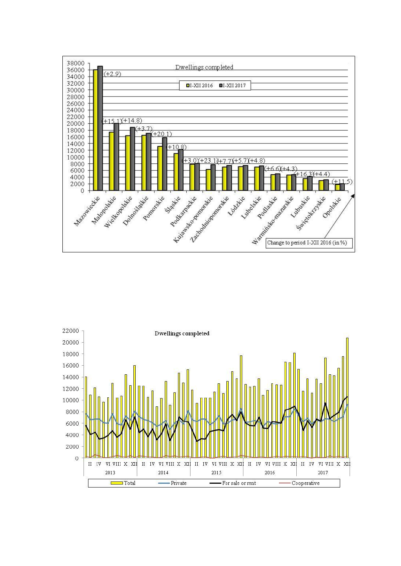